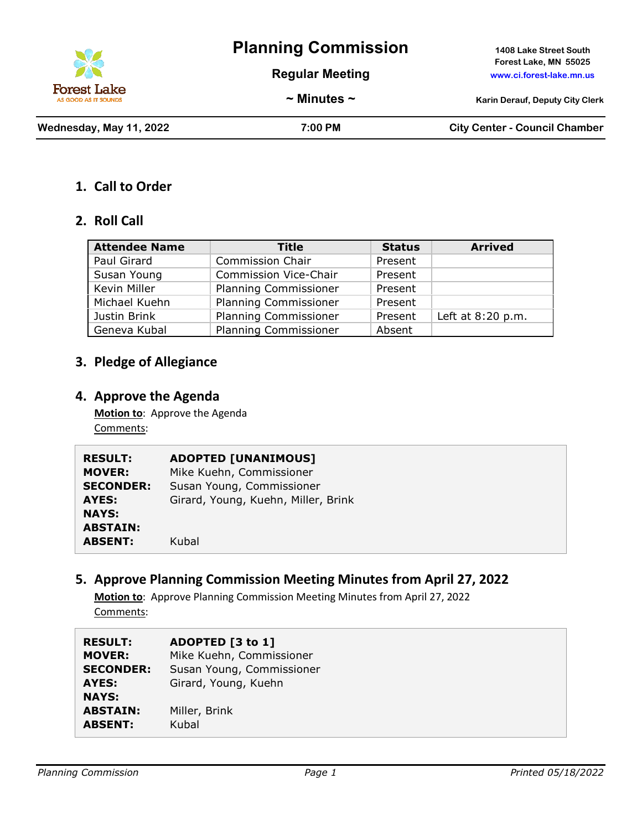

**Regular Meeting www.ci.forest-lake.mn.us**

**Forest Lake, MN 55025**

**~ Minutes ~ Karin Derauf, Deputy City Clerk**

**Wednesday, May 11, 2022 7:00 PM City Center - Council Chamber**

### **1. Call to Order**

### **2. Roll Call**

| <b>Attendee Name</b> | <b>Title</b>                 | <b>Status</b> | <b>Arrived</b>    |
|----------------------|------------------------------|---------------|-------------------|
| Paul Girard          | <b>Commission Chair</b>      | Present       |                   |
| Susan Young          | <b>Commission Vice-Chair</b> | Present       |                   |
| Kevin Miller         | <b>Planning Commissioner</b> | Present       |                   |
| Michael Kuehn        | <b>Planning Commissioner</b> | Present       |                   |
| Justin Brink         | <b>Planning Commissioner</b> | Present       | Left at 8:20 p.m. |
| Geneva Kubal         | <b>Planning Commissioner</b> | Absent        |                   |

## **3. Pledge of Allegiance**

### **4. Approve the Agenda**

**Motion to**: Approve the Agenda Comments:

| <b>RESULT:</b>   | <b>ADOPTED [UNANIMOUS]</b>          |
|------------------|-------------------------------------|
| <b>MOVER:</b>    | Mike Kuehn, Commissioner            |
| <b>SECONDER:</b> | Susan Young, Commissioner           |
| AYES:            | Girard, Young, Kuehn, Miller, Brink |
| <b>NAYS:</b>     |                                     |
| <b>ABSTAIN:</b>  |                                     |
| <b>ABSENT:</b>   | Kubal                               |

### **5. Approve Planning Commission Meeting Minutes from April 27, 2022**

**Motion to**: Approve Planning Commission Meeting Minutes from April 27, 2022 Comments:

| <b>RESULT:</b>   | ADOPTED [3 to 1]          |
|------------------|---------------------------|
| <b>MOVER:</b>    | Mike Kuehn, Commissioner  |
| <b>SECONDER:</b> | Susan Young, Commissioner |
| AYES:            | Girard, Young, Kuehn      |
| <b>NAYS:</b>     |                           |
| <b>ABSTAIN:</b>  | Miller, Brink             |
| <b>ABSENT:</b>   | Kubal                     |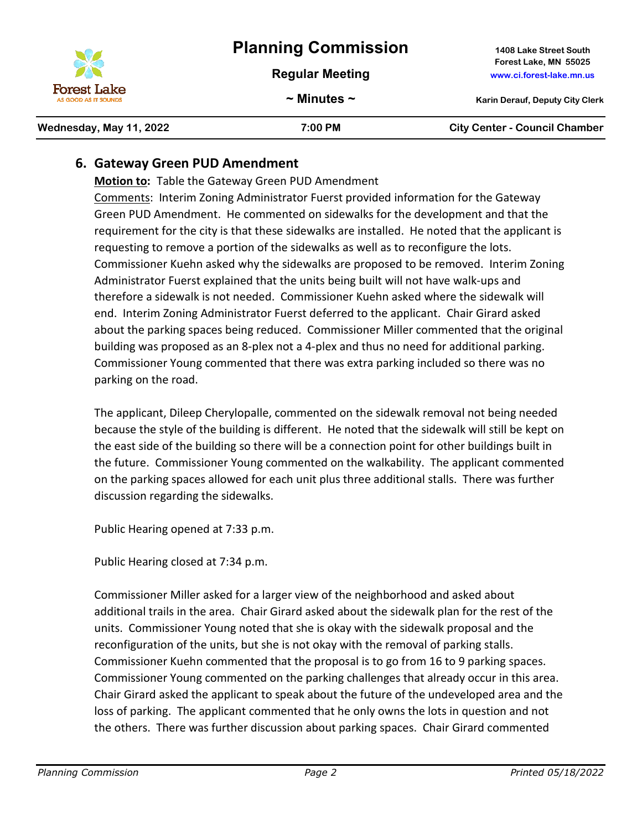**Regular Meeting www.ci.forest-lake.mn.us**

**Forest Lake, MN 55025**

# **6. Gateway Green PUD Amendment**

**Motion to:** Table the Gateway Green PUD Amendment Comments: Interim Zoning Administrator Fuerst provided information for the Gateway Green PUD Amendment. He commented on sidewalks for the development and that the requirement for the city is that these sidewalks are installed. He noted that the applicant is requesting to remove a portion of the sidewalks as well as to reconfigure the lots. Commissioner Kuehn asked why the sidewalks are proposed to be removed. Interim Zoning Administrator Fuerst explained that the units being built will not have walk-ups and therefore a sidewalk is not needed. Commissioner Kuehn asked where the sidewalk will end. Interim Zoning Administrator Fuerst deferred to the applicant. Chair Girard asked about the parking spaces being reduced. Commissioner Miller commented that the original building was proposed as an 8-plex not a 4-plex and thus no need for additional parking. Commissioner Young commented that there was extra parking included so there was no parking on the road.

The applicant, Dileep Cherylopalle, commented on the sidewalk removal not being needed because the style of the building is different. He noted that the sidewalk will still be kept on the east side of the building so there will be a connection point for other buildings built in the future. Commissioner Young commented on the walkability. The applicant commented on the parking spaces allowed for each unit plus three additional stalls. There was further discussion regarding the sidewalks.

Public Hearing opened at 7:33 p.m.

Public Hearing closed at 7:34 p.m.

Commissioner Miller asked for a larger view of the neighborhood and asked about additional trails in the area. Chair Girard asked about the sidewalk plan for the rest of the units. Commissioner Young noted that she is okay with the sidewalk proposal and the reconfiguration of the units, but she is not okay with the removal of parking stalls. Commissioner Kuehn commented that the proposal is to go from 16 to 9 parking spaces. Commissioner Young commented on the parking challenges that already occur in this area. Chair Girard asked the applicant to speak about the future of the undeveloped area and the loss of parking. The applicant commented that he only owns the lots in question and not the others. There was further discussion about parking spaces. Chair Girard commented

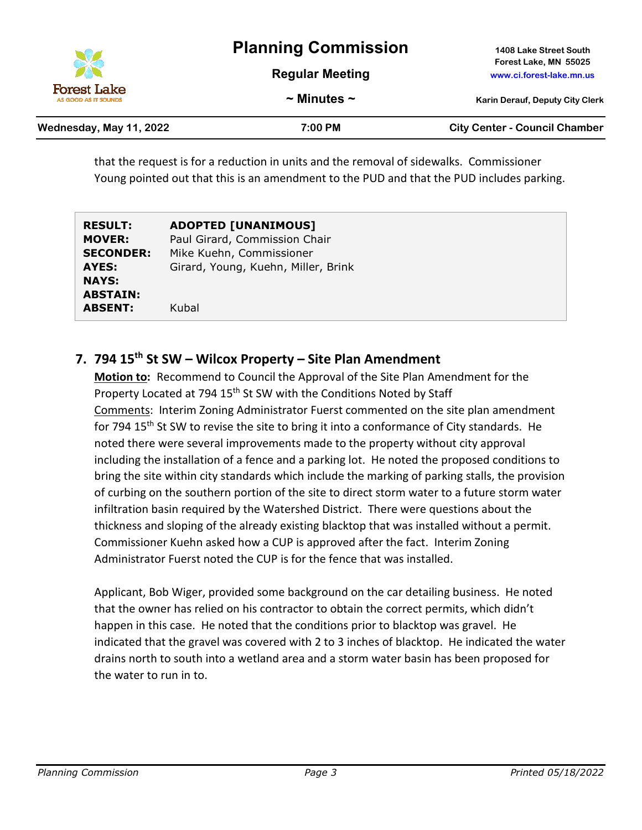|                                            | <b>Planning Commission</b> | 1408 Lake Street South                            |
|--------------------------------------------|----------------------------|---------------------------------------------------|
| X                                          | <b>Regular Meeting</b>     | Forest Lake, MN 55025<br>www.ci.forest-lake.mn.us |
| <b>Forest Lake</b><br>AS GOOD AS IT SOUNDS | $\sim$ Minutes $\sim$      | <b>Karin Derauf, Deputy City Clerk</b>            |

| Wednesday, May 11, 2022 | 7:00 PM | <b>City Center - Council Chamber</b> |
|-------------------------|---------|--------------------------------------|
|-------------------------|---------|--------------------------------------|

that the request is for a reduction in units and the removal of sidewalks. Commissioner Young pointed out that this is an amendment to the PUD and that the PUD includes parking.

| <b>RESULT:</b>   | <b>ADOPTED [UNANIMOUS]</b>          |
|------------------|-------------------------------------|
| <b>MOVER:</b>    | Paul Girard, Commission Chair       |
| <b>SECONDER:</b> | Mike Kuehn, Commissioner            |
| AYES:            | Girard, Young, Kuehn, Miller, Brink |
| <b>NAYS:</b>     |                                     |
| <b>ABSTAIN:</b>  |                                     |
| <b>ABSENT:</b>   | Kubal                               |

# **7. 794 15th St SW – Wilcox Property – Site Plan Amendment**

**Motion to:** Recommend to Council the Approval of the Site Plan Amendment for the Property Located at 794 15<sup>th</sup> St SW with the Conditions Noted by Staff Comments: Interim Zoning Administrator Fuerst commented on the site plan amendment for 794 15<sup>th</sup> St SW to revise the site to bring it into a conformance of City standards. He noted there were several improvements made to the property without city approval including the installation of a fence and a parking lot. He noted the proposed conditions to bring the site within city standards which include the marking of parking stalls, the provision of curbing on the southern portion of the site to direct storm water to a future storm water infiltration basin required by the Watershed District. There were questions about the thickness and sloping of the already existing blacktop that was installed without a permit. Commissioner Kuehn asked how a CUP is approved after the fact. Interim Zoning Administrator Fuerst noted the CUP is for the fence that was installed.

Applicant, Bob Wiger, provided some background on the car detailing business. He noted that the owner has relied on his contractor to obtain the correct permits, which didn't happen in this case. He noted that the conditions prior to blacktop was gravel. He indicated that the gravel was covered with 2 to 3 inches of blacktop. He indicated the water drains north to south into a wetland area and a storm water basin has been proposed for the water to run in to.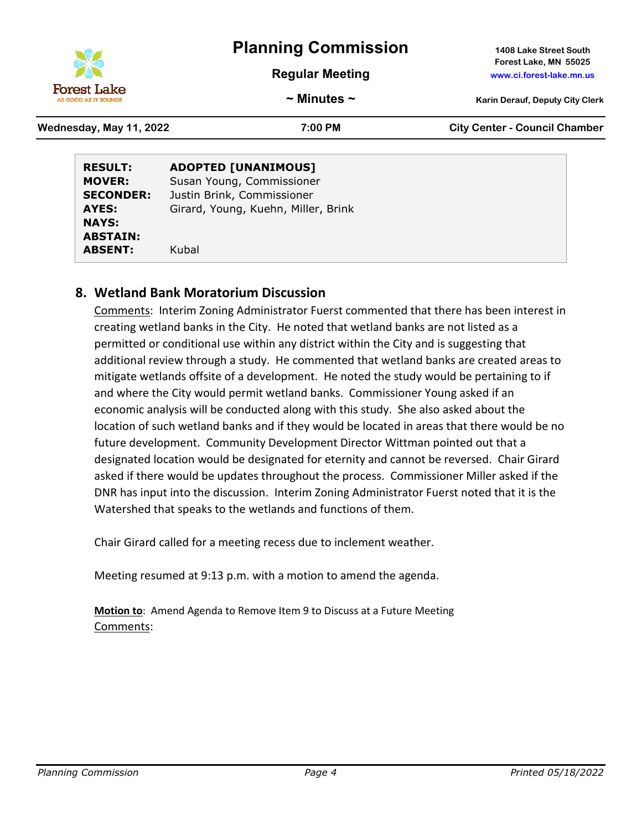

**Regular Meeting www.ci.forest-lake.mn.us**

**Forest Lake, MN 55025**

**~ Minutes ~ Karin Derauf, Deputy City Clerk**

**Wednesday, May 11, 2022 7:00 PM City Center - Council Chamber**

| <b>RESULT:</b><br><b>MOVER:</b><br><b>SECONDER:</b> | <b>ADOPTED [UNANIMOUS]</b><br>Susan Young, Commissioner<br>Justin Brink, Commissioner |  |
|-----------------------------------------------------|---------------------------------------------------------------------------------------|--|
| AYES:                                               | Girard, Young, Kuehn, Miller, Brink                                                   |  |
| <b>NAYS:</b>                                        |                                                                                       |  |
| <b>ABSTAIN:</b>                                     |                                                                                       |  |
| <b>ABSENT:</b>                                      | Kubal                                                                                 |  |

## **8. Wetland Bank Moratorium Discussion**

Comments: Interim Zoning Administrator Fuerst commented that there has been interest in creating wetland banks in the City. He noted that wetland banks are not listed as a permitted or conditional use within any district within the City and is suggesting that additional review through a study. He commented that wetland banks are created areas to mitigate wetlands offsite of a development. He noted the study would be pertaining to if and where the City would permit wetland banks. Commissioner Young asked if an economic analysis will be conducted along with this study. She also asked about the location of such wetland banks and if they would be located in areas that there would be no future development. Community Development Director Wittman pointed out that a designated location would be designated for eternity and cannot be reversed. Chair Girard asked if there would be updates throughout the process. Commissioner Miller asked if the DNR has input into the discussion. Interim Zoning Administrator Fuerst noted that it is the Watershed that speaks to the wetlands and functions of them.

Chair Girard called for a meeting recess due to inclement weather.

Meeting resumed at 9:13 p.m. with a motion to amend the agenda.

**Motion to**: Amend Agenda to Remove Item 9 to Discuss at a Future Meeting Comments: